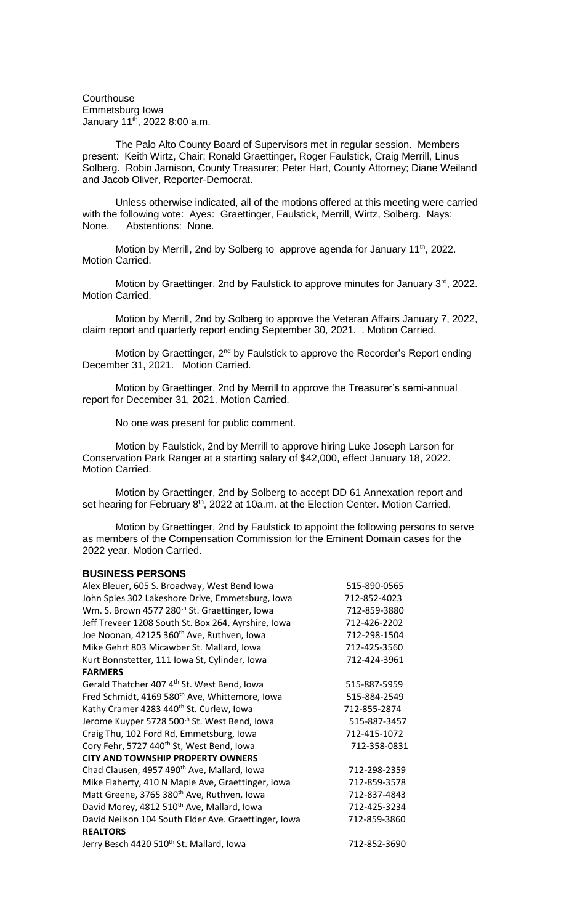**Courthouse** Emmetsburg Iowa January  $11^{th}$ , 2022 8:00 a.m.

The Palo Alto County Board of Supervisors met in regular session. Members present: Keith Wirtz, Chair; Ronald Graettinger, Roger Faulstick, Craig Merrill, Linus Solberg. Robin Jamison, County Treasurer; Peter Hart, County Attorney; Diane Weiland and Jacob Oliver, Reporter-Democrat.

Unless otherwise indicated, all of the motions offered at this meeting were carried with the following vote: Ayes: Graettinger, Faulstick, Merrill, Wirtz, Solberg. Nays: None. Abstentions: None.

Motion by Merrill, 2nd by Solberg to approve agenda for January 11<sup>th</sup>, 2022. Motion Carried.

Motion by Graettinger, 2nd by Faulstick to approve minutes for January 3rd, 2022. Motion Carried.

Motion by Merrill, 2nd by Solberg to approve the Veteran Affairs January 7, 2022, claim report and quarterly report ending September 30, 2021. . Motion Carried.

Motion by Graettinger, 2<sup>nd</sup> by Faulstick to approve the Recorder's Report ending December 31, 2021. Motion Carried.

Motion by Graettinger, 2nd by Merrill to approve the Treasurer's semi-annual report for December 31, 2021. Motion Carried.

No one was present for public comment.

Motion by Faulstick, 2nd by Merrill to approve hiring Luke Joseph Larson for Conservation Park Ranger at a starting salary of \$42,000, effect January 18, 2022. Motion Carried.

Motion by Graettinger, 2nd by Solberg to accept DD 61 Annexation report and set hearing for February  $8<sup>th</sup>$ , 2022 at 10a.m. at the Election Center. Motion Carried.

Motion by Graettinger, 2nd by Faulstick to appoint the following persons to serve as members of the Compensation Commission for the Eminent Domain cases for the 2022 year. Motion Carried.

### **BUSINESS PERSONS**

| Alex Bleuer, 605 S. Broadway, West Bend Iowa               | 515-890-0565 |
|------------------------------------------------------------|--------------|
| John Spies 302 Lakeshore Drive, Emmetsburg, Iowa           | 712-852-4023 |
| Wm. S. Brown 4577 280 <sup>th</sup> St. Graettinger, Iowa  | 712-859-3880 |
| Jeff Treveer 1208 South St. Box 264, Ayrshire, Iowa        | 712-426-2202 |
| Joe Noonan, 42125 360 <sup>th</sup> Ave, Ruthven, Iowa     | 712-298-1504 |
| Mike Gehrt 803 Micawber St. Mallard, Iowa                  | 712-425-3560 |
| Kurt Bonnstetter, 111 Iowa St, Cylinder, Iowa              | 712-424-3961 |
| <b>FARMERS</b>                                             |              |
| Gerald Thatcher 407 4 <sup>th</sup> St. West Bend, Iowa    | 515-887-5959 |
| Fred Schmidt, 4169 580 <sup>th</sup> Ave, Whittemore, Iowa | 515-884-2549 |
| Kathy Cramer 4283 440 <sup>th</sup> St. Curlew, Iowa       | 712-855-2874 |
| Jerome Kuyper 5728 500th St. West Bend, Iowa               | 515-887-3457 |
| Craig Thu, 102 Ford Rd, Emmetsburg, Iowa                   | 712-415-1072 |
| Cory Fehr, 5727 440 <sup>th</sup> St, West Bend, Iowa      | 712-358-0831 |
| <b>CITY AND TOWNSHIP PROPERTY OWNERS</b>                   |              |
| Chad Clausen, 4957 490 <sup>th</sup> Ave, Mallard, Iowa    | 712-298-2359 |
| Mike Flaherty, 410 N Maple Ave, Graettinger, Iowa          | 712-859-3578 |
| Matt Greene, 3765 380 <sup>th</sup> Ave, Ruthven, Iowa     | 712-837-4843 |
| David Morey, 4812 510 <sup>th</sup> Ave, Mallard, Iowa     | 712-425-3234 |
| David Neilson 104 South Elder Ave. Graettinger, Iowa       | 712-859-3860 |
| <b>REALTORS</b>                                            |              |
| Jerry Besch 4420 510 <sup>th</sup> St. Mallard, Iowa       | 712-852-3690 |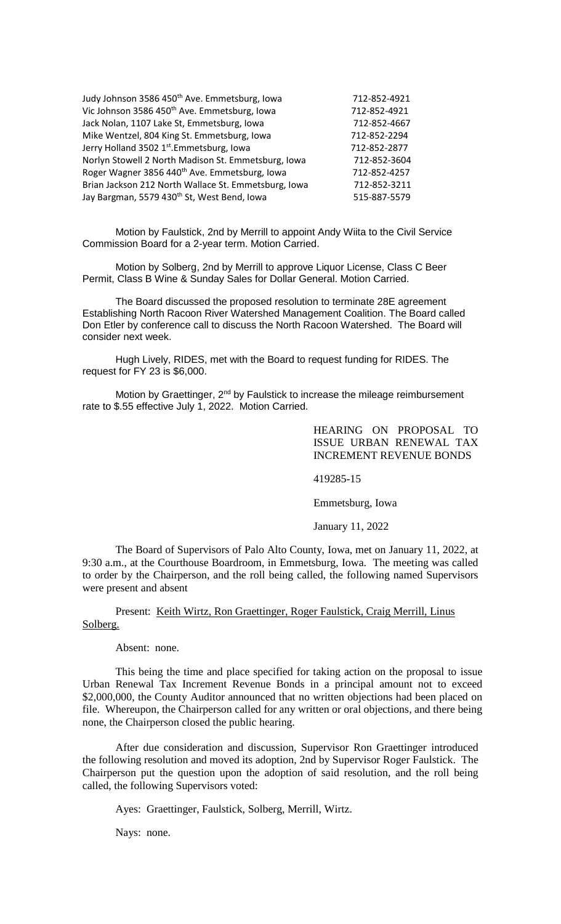| Judy Johnson 3586 450 <sup>th</sup> Ave. Emmetsburg, Iowa | 712-852-4921 |
|-----------------------------------------------------------|--------------|
| Vic Johnson 3586 450 <sup>th</sup> Ave. Emmetsburg, Iowa  | 712-852-4921 |
| Jack Nolan, 1107 Lake St, Emmetsburg, Iowa                | 712-852-4667 |
| Mike Wentzel, 804 King St. Emmetsburg, Iowa               | 712-852-2294 |
| Jerry Holland 3502 1st. Emmetsburg, Iowa                  | 712-852-2877 |
| Norlyn Stowell 2 North Madison St. Emmetsburg, Iowa       | 712-852-3604 |
| Roger Wagner 3856 440 <sup>th</sup> Ave. Emmetsburg, Iowa | 712-852-4257 |
| Brian Jackson 212 North Wallace St. Emmetsburg, Iowa      | 712-852-3211 |
| Jay Bargman, 5579 430 <sup>th</sup> St, West Bend, Iowa   | 515-887-5579 |
|                                                           |              |

Motion by Faulstick, 2nd by Merrill to appoint Andy Wiita to the Civil Service Commission Board for a 2-year term. Motion Carried.

Motion by Solberg, 2nd by Merrill to approve Liquor License, Class C Beer Permit, Class B Wine & Sunday Sales for Dollar General. Motion Carried.

The Board discussed the proposed resolution to terminate 28E agreement Establishing North Racoon River Watershed Management Coalition. The Board called Don Etler by conference call to discuss the North Racoon Watershed. The Board will consider next week.

Hugh Lively, RIDES, met with the Board to request funding for RIDES. The request for FY 23 is \$6,000.

Motion by Graettinger, 2<sup>nd</sup> by Faulstick to increase the mileage reimbursement rate to \$.55 effective July 1, 2022. Motion Carried.

> HEARING ON PROPOSAL TO ISSUE URBAN RENEWAL TAX INCREMENT REVENUE BONDS

419285-15

Emmetsburg, Iowa

January 11, 2022

The Board of Supervisors of Palo Alto County, Iowa, met on January 11, 2022, at 9:30 a.m., at the Courthouse Boardroom, in Emmetsburg, Iowa. The meeting was called to order by the Chairperson, and the roll being called, the following named Supervisors were present and absent

Present: Keith Wirtz, Ron Graettinger, Roger Faulstick, Craig Merrill, Linus Solberg.

Absent: none.

This being the time and place specified for taking action on the proposal to issue Urban Renewal Tax Increment Revenue Bonds in a principal amount not to exceed \$2,000,000, the County Auditor announced that no written objections had been placed on file. Whereupon, the Chairperson called for any written or oral objections, and there being none, the Chairperson closed the public hearing.

After due consideration and discussion, Supervisor Ron Graettinger introduced the following resolution and moved its adoption, 2nd by Supervisor Roger Faulstick. The Chairperson put the question upon the adoption of said resolution, and the roll being called, the following Supervisors voted:

Ayes: Graettinger, Faulstick, Solberg, Merrill, Wirtz.

Nays: none.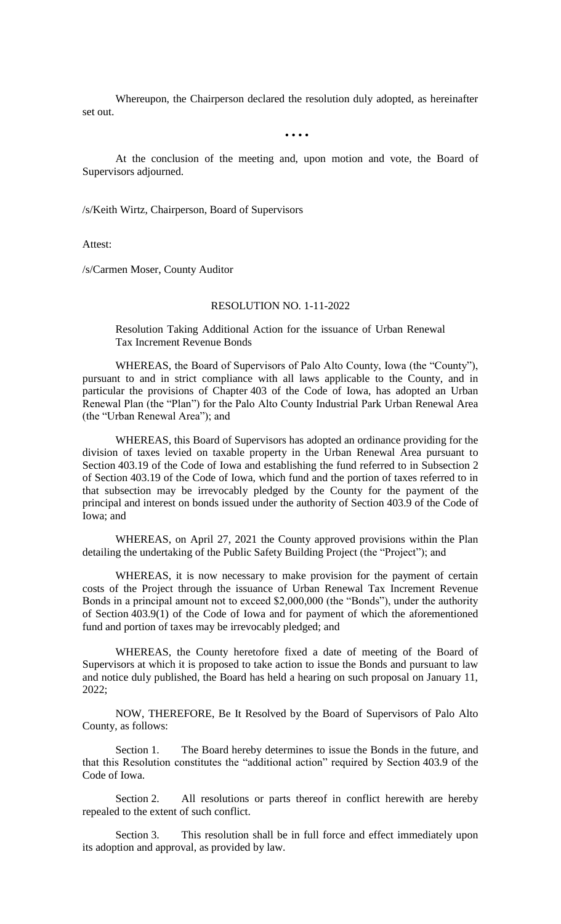Whereupon, the Chairperson declared the resolution duly adopted, as hereinafter set out.

• • • •

At the conclusion of the meeting and, upon motion and vote, the Board of Supervisors adjourned.

/s/Keith Wirtz, Chairperson, Board of Supervisors

Attest:

/s/Carmen Moser, County Auditor

### RESOLUTION NO. 1-11-2022

Resolution Taking Additional Action for the issuance of Urban Renewal Tax Increment Revenue Bonds

WHEREAS, the Board of Supervisors of Palo Alto County, Iowa (the "County"), pursuant to and in strict compliance with all laws applicable to the County, and in particular the provisions of Chapter 403 of the Code of Iowa, has adopted an Urban Renewal Plan (the "Plan") for the Palo Alto County Industrial Park Urban Renewal Area (the "Urban Renewal Area"); and

WHEREAS, this Board of Supervisors has adopted an ordinance providing for the division of taxes levied on taxable property in the Urban Renewal Area pursuant to Section 403.19 of the Code of Iowa and establishing the fund referred to in Subsection 2 of Section 403.19 of the Code of Iowa, which fund and the portion of taxes referred to in that subsection may be irrevocably pledged by the County for the payment of the principal and interest on bonds issued under the authority of Section 403.9 of the Code of Iowa; and

WHEREAS, on April 27, 2021 the County approved provisions within the Plan detailing the undertaking of the Public Safety Building Project (the "Project"); and

WHEREAS, it is now necessary to make provision for the payment of certain costs of the Project through the issuance of Urban Renewal Tax Increment Revenue Bonds in a principal amount not to exceed \$2,000,000 (the "Bonds"), under the authority of Section 403.9(1) of the Code of Iowa and for payment of which the aforementioned fund and portion of taxes may be irrevocably pledged; and

WHEREAS, the County heretofore fixed a date of meeting of the Board of Supervisors at which it is proposed to take action to issue the Bonds and pursuant to law and notice duly published, the Board has held a hearing on such proposal on January 11, 2022;

NOW, THEREFORE, Be It Resolved by the Board of Supervisors of Palo Alto County, as follows:

Section 1. The Board hereby determines to issue the Bonds in the future, and that this Resolution constitutes the "additional action" required by Section 403.9 of the Code of Iowa.

Section 2. All resolutions or parts thereof in conflict herewith are hereby repealed to the extent of such conflict.

Section 3. This resolution shall be in full force and effect immediately upon its adoption and approval, as provided by law.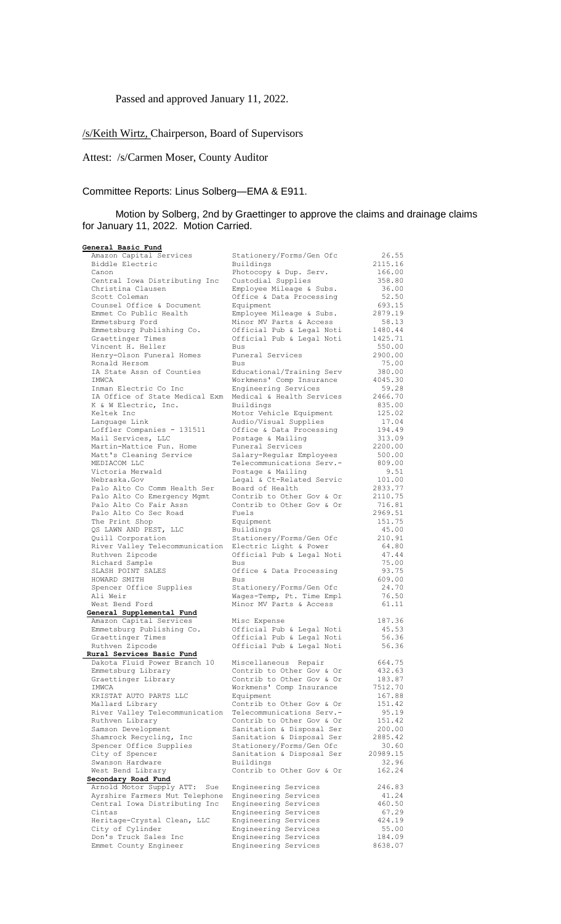# Passed and approved January 11, 2022.

# /s/Keith Wirtz, Chairperson, Board of Supervisors

Attest: /s/Carmen Moser, County Auditor

## Committee Reports: Linus Solberg—EMA & E911.

## Motion by Solberg, 2nd by Graettinger to approve the claims and drainage claims for January 11, 2022. Motion Carried.

| General Basic Fund                                    |                                                        |                   |
|-------------------------------------------------------|--------------------------------------------------------|-------------------|
| Amazon Capital Services                               | Stationery/Forms/Gen Ofc                               | 26.55             |
| Biddle Electric                                       | Buildings                                              | 2115.16           |
| Canon                                                 | Photocopy & Dup. Serv.                                 | 166.00            |
| Central Iowa Distributing Inc                         | Custodial Supplies                                     | 358.80            |
| Christina Clausen                                     | Employee Mileage & Subs.                               | 36.00             |
| Scott Coleman                                         | Office & Data Processing                               | 52.50             |
| Counsel Office & Document                             | Equipment                                              | 693.15            |
| Emmet Co Public Health                                | Employee Mileage & Subs.                               | 2879.19           |
| Emmetsburg Ford                                       | Minor MV Parts & Access                                | 58.13             |
| Emmetsburg Publishing Co.                             | Official Pub & Legal Noti                              | 1480.44           |
| Graettinger Times                                     | Official Pub & Legal Noti                              | 1425.71           |
| Vincent H. Heller                                     | <b>Bus</b>                                             | 550.00            |
| Henry-Olson Funeral Homes                             | Funeral Services<br>Bus                                | 2900.00           |
| Ronald Hersom<br>IA State Assn of Counties            | Educational/Training Serv                              | 75.00<br>380.00   |
| IMWCA                                                 | Workmens' Comp Insurance                               | 4045.30           |
| Inman Electric Co Inc                                 | Engineering Services                                   | 59.28             |
| IA Office of State Medical Exm                        | Medical & Health Services                              | 2466.70           |
| K & W Electric, Inc.                                  | Buildings                                              | 835.00            |
| Keltek Inc                                            | Motor Vehicle Equipment                                | 125.02            |
| Language Link                                         | Audio/Visual Supplies                                  | 17.04             |
| Loffler Companies - 131511                            | Office & Data Processing                               | 194.49            |
| Mail Services, LLC                                    | Postage & Mailing                                      | 313.09            |
| Martin-Mattice Fun. Home                              | Funeral Services                                       | 2200.00           |
| Matt's Cleaning Service                               | Salary-Regular Employees                               | 500.00            |
| MEDIACOM LLC                                          | Telecommunications Serv.-                              | 809.00            |
| Victoria Merwald                                      | Postage & Mailing                                      | 9.51              |
| Nebraska.Gov                                          | Legal & Ct-Related Servic                              | 101.00            |
| Palo Alto Co Comm Health Ser                          | Board of Health<br>Contrib to Other Gov & Or           | 2833.77           |
| Palo Alto Co Emergency Mgmt<br>Palo Alto Co Fair Assn | Contrib to Other Gov & Or                              | 2110.75<br>716.81 |
| Palo Alto Co Sec Road                                 | Fuels                                                  | 2969.51           |
| The Print Shop                                        | Equipment                                              | 151.75            |
| QS LAWN AND PEST, LLC                                 | Buildings                                              | 45.00             |
| Quill Corporation                                     | Stationery/Forms/Gen Ofc                               | 210.91            |
| River Valley Telecommunication                        | Electric Light & Power                                 | 64.80             |
| Ruthven Zipcode                                       | Official Pub & Legal Noti                              | 47.44             |
| Richard Sample                                        | Bus                                                    | 75.00             |
| SLASH POINT SALES                                     | Office & Data Processing                               | 93.75             |
| HOWARD SMITH                                          | Bus                                                    | 609.00            |
| Spencer Office Supplies                               | Stationery/Forms/Gen Ofc                               | 24.70             |
| Ali Weir                                              | Wages-Temp, Pt. Time Empl                              | 76.50             |
| West Bend Ford                                        | Minor MV Parts & Access                                | 61.11             |
| General Supplemental Fund<br>Amazon Capital Services  |                                                        | 187.36            |
| Emmetsburg Publishing Co.                             | Misc Expense<br>Official Pub & Legal Noti              | 45.53             |
| Graettinger Times                                     | Official Pub & Legal Noti                              | 56.36             |
| Ruthven Zipcode                                       | Official Pub & Legal Noti                              | 56.36             |
| Rural Services Basic Fund                             |                                                        |                   |
| Dakota Fluid Power Branch 10                          | Miscellaneous Repair                                   | 664.75            |
| Emmetsburg Library                                    | Contrib to Other Gov & Or                              | 432.63            |
| Graettinger Library                                   | Contrib to Other Gov & Or                              | 183.87            |
| IMWCA                                                 | Workmens' Comp Insurance                               | 7512.70           |
| KRISTAT AUTO PARTS LLC                                | Equipment                                              | 167.88            |
| Mallard Library                                       | Contrib to Other Gov & Or                              | 151.42            |
| River Valley Telecommunication                        | Telecommunications Serv.-                              | 95.19             |
| Ruthven Library                                       | Contrib to Other Gov & Or                              | 151.42            |
| Samson Development<br>Shamrock Recycling, Inc         | Sanitation & Disposal Ser<br>Sanitation & Disposal Ser | 200.00<br>2885.42 |
| Spencer Office Supplies                               | Stationery/Forms/Gen Ofc                               | 30.60             |
| City of Spencer                                       | Sanitation & Disposal Ser                              | 20989.15          |
| Swanson Hardware                                      | Buildings                                              | 32.96             |
| West Bend Library                                     | Contrib to Other Gov & Or                              | 162.24            |
| Secondary Road Fund                                   |                                                        |                   |
| Arnold Motor Supply ATT:<br>Sue                       | Engineering Services                                   | 246.83            |
| Ayrshire Farmers Mut Telephone                        | Engineering Services                                   | 41.24             |
| Central Iowa Distributing Inc                         | Engineering Services                                   | 460.50            |
| Cintas                                                | Engineering Services                                   | 67.29             |
| Heritage-Crystal Clean, LLC                           | Engineering Services                                   | 424.19            |
| City of Cylinder                                      | Engineering Services                                   | 55.00             |
| Don's Truck Sales Inc                                 | Engineering Services                                   | 184.09            |
| Emmet County Engineer                                 | Engineering Services                                   | 8638.07           |